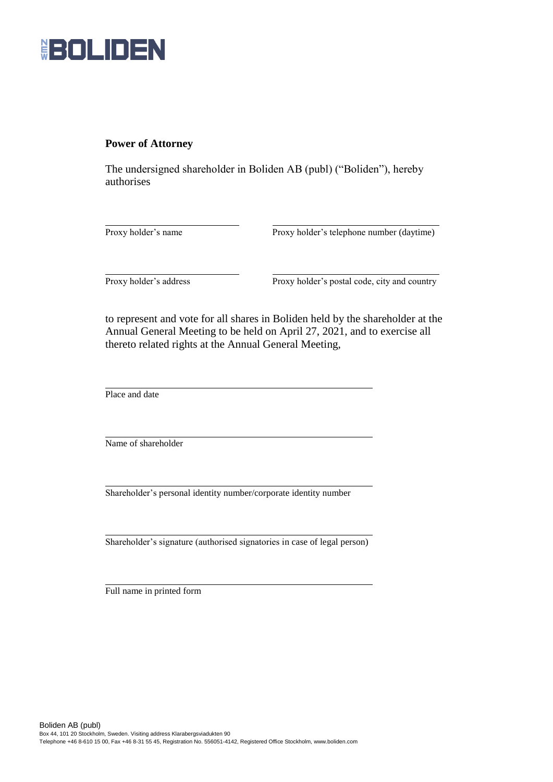

## **Power of Attorney**

The undersigned shareholder in Boliden AB (publ) ("Boliden"), hereby authorises

Proxy holder's name Proxy holder's telephone number (daytime)

Proxy holder's address Proxy holder's postal code, city and country

to represent and vote for all shares in Boliden held by the shareholder at the Annual General Meeting to be held on April 27, 2021, and to exercise all thereto related rights at the Annual General Meeting,

Place and date

Name of shareholder

Shareholder's personal identity number/corporate identity number

Shareholder's signature (authorised signatories in case of legal person)

Full name in printed form